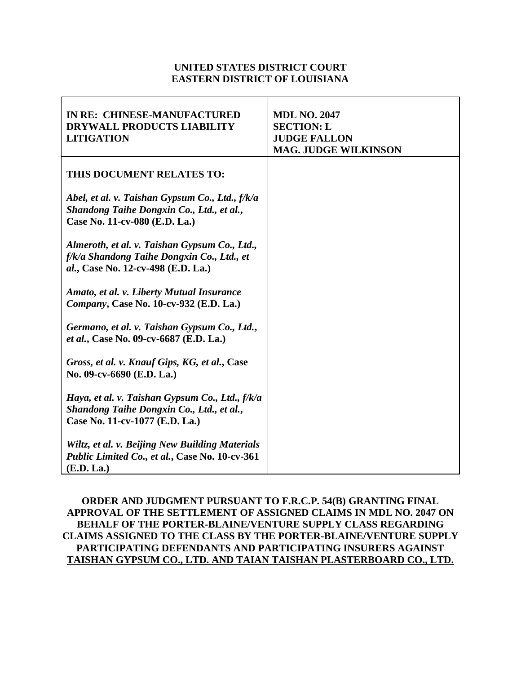## **UNITED STATES DISTRICT COURT EASTERN DISTRICT OF LOUISIANA**

| IN RE: CHINESE-MANUFACTURED<br><b>DRYWALL PRODUCTS LIABILITY</b><br><b>LITIGATION</b>                                             | <b>MDL NO. 2047</b><br><b>SECTION: L</b><br><b>JUDGE FALLON</b><br><b>MAG. JUDGE WILKINSON</b> |
|-----------------------------------------------------------------------------------------------------------------------------------|------------------------------------------------------------------------------------------------|
| THIS DOCUMENT RELATES TO:                                                                                                         |                                                                                                |
| Abel, et al. v. Taishan Gypsum Co., Ltd., f/k/a<br>Shandong Taihe Dongxin Co., Ltd., et al.,<br>Case No. 11-cv-080 (E.D. La.)     |                                                                                                |
| Almeroth, et al. v. Taishan Gypsum Co., Ltd.,<br>f/k/a Shandong Taihe Dongxin Co., Ltd., et<br>al., Case No. 12-cv-498 (E.D. La.) |                                                                                                |
| Amato, et al. v. Liberty Mutual Insurance<br>Company, Case No. 10-cv-932 (E.D. La.)                                               |                                                                                                |
| Germano, et al. v. Taishan Gypsum Co., Ltd.,<br>et al., Case No. 09-cv-6687 (E.D. La.)                                            |                                                                                                |
| Gross, et al. v. Knauf Gips, KG, et al., Case<br>No. 09-cv-6690 (E.D. La.)                                                        |                                                                                                |
| Haya, et al. v. Taishan Gypsum Co., Ltd., f/k/a<br>Shandong Taihe Dongxin Co., Ltd., et al.,<br>Case No. 11-cv-1077 (E.D. La.)    |                                                                                                |
| Wiltz, et al. v. Beijing New Building Materials<br>Public Limited Co., et al., Case No. 10-cv-361<br>(E.D. La.)                   |                                                                                                |

**ORDER AND JUDGMENT PURSUANT TO F.R.C.P. 54(B) GRANTING FINAL APPROVAL OF THE SETTLEMENT OF ASSIGNED CLAIMS IN MDL NO. 2047 ON BEHALF OF THE PORTER-BLAINE/VENTURE SUPPLY CLASS REGARDING CLAIMS ASSIGNED TO THE CLASS BY THE PORTER-BLAINE/VENTURE SUPPLY PARTICIPATING DEFENDANTS AND PARTICIPATING INSURERS AGAINST TAISHAN GYPSUM CO., LTD. AND TAIAN TAISHAN PLASTERBOARD CO., LTD.**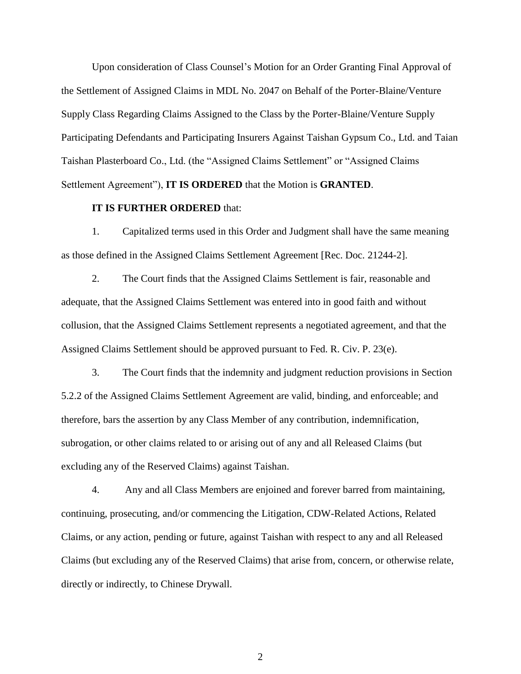Upon consideration of Class Counsel's Motion for an Order Granting Final Approval of the Settlement of Assigned Claims in MDL No. 2047 on Behalf of the Porter-Blaine/Venture Supply Class Regarding Claims Assigned to the Class by the Porter-Blaine/Venture Supply Participating Defendants and Participating Insurers Against Taishan Gypsum Co., Ltd. and Taian Taishan Plasterboard Co., Ltd. (the "Assigned Claims Settlement" or "Assigned Claims Settlement Agreement"), **IT IS ORDERED** that the Motion is **GRANTED**.

## **IT IS FURTHER ORDERED** that:

1. Capitalized terms used in this Order and Judgment shall have the same meaning as those defined in the Assigned Claims Settlement Agreement [Rec. Doc. 21244-2].

2. The Court finds that the Assigned Claims Settlement is fair, reasonable and adequate, that the Assigned Claims Settlement was entered into in good faith and without collusion, that the Assigned Claims Settlement represents a negotiated agreement, and that the Assigned Claims Settlement should be approved pursuant to Fed. R. Civ. P. 23(e).

3. The Court finds that the indemnity and judgment reduction provisions in Section 5.2.2 of the Assigned Claims Settlement Agreement are valid, binding, and enforceable; and therefore, bars the assertion by any Class Member of any contribution, indemnification, subrogation, or other claims related to or arising out of any and all Released Claims (but excluding any of the Reserved Claims) against Taishan.

4. Any and all Class Members are enjoined and forever barred from maintaining, continuing, prosecuting, and/or commencing the Litigation, CDW-Related Actions, Related Claims, or any action, pending or future, against Taishan with respect to any and all Released Claims (but excluding any of the Reserved Claims) that arise from, concern, or otherwise relate, directly or indirectly, to Chinese Drywall.

2